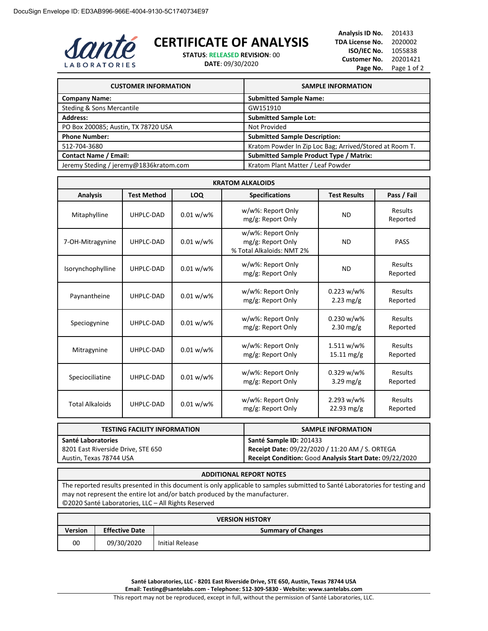

## **CERTIFICATE OF ANALYSIS**

**STATUS**: **RELEASED REVISION**: 00

**DATE**: 09/30/2020

| Analysis ID No.     | 201433      |
|---------------------|-------------|
| TDA License No.     | 2020002     |
| ISO/IEC No.         | 1055838     |
| <b>Customer No.</b> | 20201421    |
| Page No.            | Page 1 of 2 |

| <b>CUSTOMER INFORMATION</b>            | <b>SAMPLE INFORMATION</b>                               |
|----------------------------------------|---------------------------------------------------------|
| <b>Company Name:</b>                   | <b>Submitted Sample Name:</b>                           |
| Steding & Sons Mercantile              | GW151910                                                |
| <b>Address:</b>                        | <b>Submitted Sample Lot:</b>                            |
| PO Box 200085; Austin, TX 78720 USA    | Not Provided                                            |
| <b>Phone Number:</b>                   | <b>Submitted Sample Description:</b>                    |
| 512-704-3680                           | Kratom Powder In Zip Loc Bag; Arrived/Stored at Room T. |
| <b>Contact Name / Email:</b>           | <b>Submitted Sample Product Type / Matrix:</b>          |
| Jeremy Steding / jeremy@1836kratom.com | Kratom Plant Matter / Leaf Powder                       |

| <b>KRATOM ALKALOIDS</b> |                    |              |                                                                     |                                    |                     |
|-------------------------|--------------------|--------------|---------------------------------------------------------------------|------------------------------------|---------------------|
| <b>Analysis</b>         | <b>Test Method</b> | LOQ          | <b>Specifications</b>                                               | <b>Test Results</b>                | Pass / Fail         |
| Mitaphylline            | UHPLC-DAD          | $0.01 w/w$ % | w/w%: Report Only<br>mg/g: Report Only                              | <b>ND</b>                          | Results<br>Reported |
| 7-OH-Mitragynine        | UHPLC-DAD          | $0.01 w/w$ % | w/w%: Report Only<br>mg/g: Report Only<br>% Total Alkaloids: NMT 2% | <b>ND</b>                          | <b>PASS</b>         |
| Isorynchophylline       | UHPLC-DAD          | $0.01 w/w$ % | w/w%: Report Only<br>mg/g: Report Only                              | <b>ND</b>                          | Results<br>Reported |
| Paynantheine            | UHPLC-DAD          | 0.01 w/w%    | w/w%: Report Only<br>mg/g: Report Only                              | 0.223 w/w%<br>$2.23 \text{ mg/g}$  | Results<br>Reported |
| Speciogynine            | UHPLC-DAD          | $0.01 w/w$ % | w/w%: Report Only<br>mg/g: Report Only                              | 0.230 w/w%<br>$2.30$ mg/g          | Results<br>Reported |
| Mitragynine             | UHPLC-DAD          | 0.01 w/w%    | w/w%: Report Only<br>mg/g: Report Only                              | 1.511 w/w%<br>$15.11 \text{ mg/g}$ | Results<br>Reported |
| Speciociliatine         | UHPLC-DAD          | 0.01 w/w%    | w/w%: Report Only<br>mg/g: Report Only                              | 0.329 w/w%<br>3.29 mg/g            | Results<br>Reported |
| <b>Total Alkaloids</b>  | UHPLC-DAD          | $0.01 w/w$ % | w/w%: Report Only<br>mg/g: Report Only                              | 2.293 w/w%<br>$22.93$ mg/g         | Results<br>Reported |

| <b>TESTING FACILITY INFORMATION</b> | <b>SAMPLE INFORMATION</b>                               |
|-------------------------------------|---------------------------------------------------------|
| Santé Laboratories                  | Santé Sample ID: 201433                                 |
| 8201 East Riverside Drive, STE 650  | Receipt Date: 09/22/2020 / 11:20 AM / S. ORTEGA         |
| Austin, Texas 78744 USA             | Receipt Condition: Good Analysis Start Date: 09/22/2020 |

## **ADDITIONAL REPORT NOTES**

The reported results presented in this document is only applicable to samples submitted to Santé Laboratories for testing and may not represent the entire lot and/or batch produced by the manufacturer. ©2020 Santé Laboratories, LLC – All Rights Reserved

| <b>VERSION HISTORY</b> |                       |                           |
|------------------------|-----------------------|---------------------------|
| <b>Version</b>         | <b>Effective Date</b> | <b>Summary of Changes</b> |
| 00                     | 09/30/2020            | Initial Release           |

**Santé Laboratories, LLC - 8201 East Riverside Drive, STE 650, Austin, Texas 78744 USA Email: Testing@santelabs.com - Telephone: 512-309-5830 - Website: www.santelabs.com**